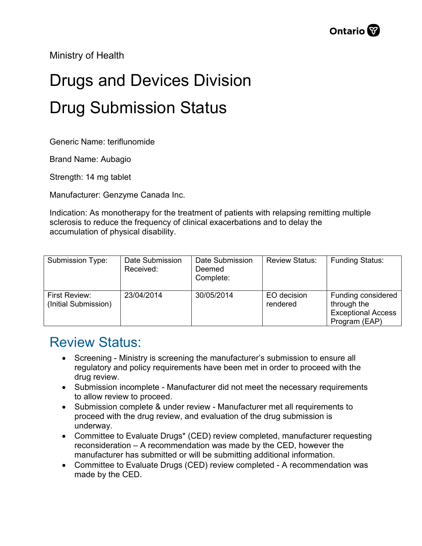Ministry of Health

## Drugs and Devices Division Drug Submission Status

Generic Name: teriflunomide

Brand Name: Aubagio

Strength: 14 mg tablet

Manufacturer: Genzyme Canada Inc.

Indication: As monotherapy for the treatment of patients with relapsing remitting multiple sclerosis to reduce the frequency of clinical exacerbations and to delay the accumulation of physical disability.

| Submission Type:                      | Date Submission<br>Received: | Date Submission<br>Deemed<br>Complete: | <b>Review Status:</b>   | <b>Funding Status:</b>                                                          |
|---------------------------------------|------------------------------|----------------------------------------|-------------------------|---------------------------------------------------------------------------------|
| First Review:<br>(Initial Submission) | 23/04/2014                   | 30/05/2014                             | EO decision<br>rendered | Funding considered<br>through the<br><b>Exceptional Access</b><br>Program (EAP) |

## Review Status:

- Screening Ministry is screening the manufacturer's submission to ensure all regulatory and policy requirements have been met in order to proceed with the drug review.
- Submission incomplete Manufacturer did not meet the necessary requirements to allow review to proceed.
- Submission complete & under review Manufacturer met all requirements to proceed with the drug review, and evaluation of the drug submission is underway.
- Committee to Evaluate Drugs\* (CED) review completed, manufacturer requesting reconsideration – A recommendation was made by the CED, however the manufacturer has submitted or will be submitting additional information.
- Committee to Evaluate Drugs (CED) review completed A recommendation was made by the CED.